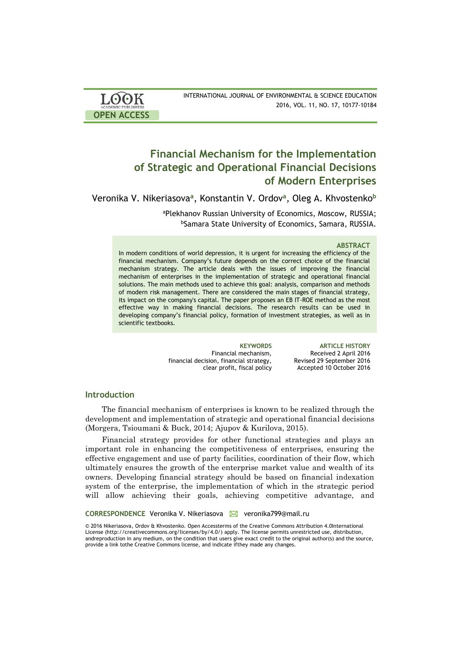| <b>LOOK</b>                | INTERNATIONAL JOURNAL OF ENVIRONMENTAL & SCIENCE EDUCATION |
|----------------------------|------------------------------------------------------------|
| <b>ACADEMIC PUBLISHERS</b> | 2016, VOL. 11, NO. 17, 10177-10184                         |
| <b>OPEN ACCESS</b>         |                                                            |

# **Financial Mechanism for the Implementation of Strategic and Operational Financial Decisions of Modern Enterprises**

Veronika V. Nikeriasova**<sup>a</sup>** , Konstantin V. Ordov**<sup>a</sup>** , Oleg A. Khvostenko**<sup>b</sup>**

<sup>a</sup>Plekhanov Russian University of Economics, Moscow, RUSSIA; bSamara State University of Economics, Samara, RUSSIA.

### **ABSTRACT**

In modern conditions of world depression, it is urgent for increasing the efficiency of the financial mechanism. Company's future depends on the correct choice of the financial mechanism strategy. The article deals with the issues of improving the financial mechanism of enterprises in the implementation of strategic and operational financial solutions. The main methods used to achieve this goal: analysis, comparison and methods of modern risk management. There are considered the main stages of financial strategy, its impact on the company's capital. The paper proposes an EB IT-ROE method as the most effective way in making financial decisions. The research results can be used in developing company's financial policy, formation of investment strategies, as well as in scientific textbooks.

> Financial mechanism, financial decision, financial strategy, clear profit, fiscal policy

**KEYWORDS ARTICLE HISTORY** Received 2 April 2016 Revised 29 September 2016 Accepted 10 October 2016

### **Introduction**

The financial mechanism of enterprises is known to be realized through the development and implementation of strategic and operational financial decisions (Morgera, Tsioumani & Buck, 2014; Ajupov & Kurilova, 2015).

Financial strategy provides for other functional strategies and plays an important role in enhancing the competitiveness of enterprises, ensuring the effective engagement and use of party facilities, coordination of their flow, which ultimately ensures the growth of the enterprise market value and wealth of its owners. Developing financial strategy should be based on financial indexation system of the enterprise, the implementation of which in the strategic period will allow achieving their goals, achieving competitive advantage, and

**CORRESPONDENCE Veronika V. Nikeriasova △ veronika799@mail.ru** 

© 2016 Nikeriasova, Ordov & Khvostenko. Open Accessterms of the Creative Commons Attribution 4.0International License (http://creativecommons.org/licenses/by/4.0/) apply. The license permits unrestricted use, distribution, andreproduction in any medium, on the condition that users give exact credit to the original author(s) and the source, provide a link tothe Creative Commons license, and indicate ifthey made any changes.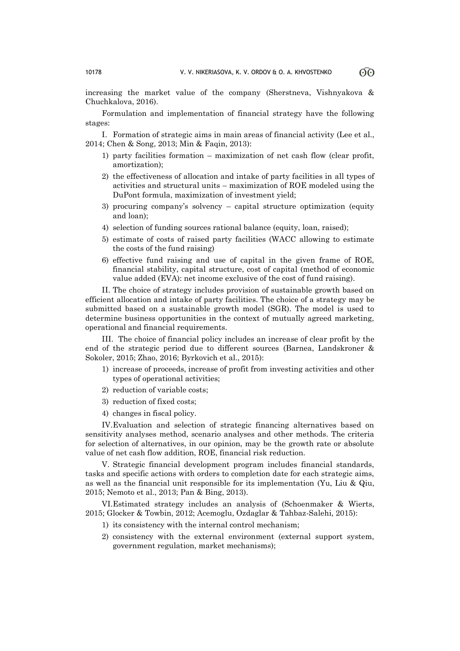increasing the market value of the company (Sherstneva, Vishnyakova & Chuchkalova, 2016).

Formulation and implementation of financial strategy have the following stages:

I. Formation of strategic aims in main areas of financial activity (Lee et al., 2014; Chen & Song, 2013; Min & Faqin, 2013):

- 1) party facilities formation maximization of net cash flow (clear profit, amortization);
- 2) the effectiveness of allocation and intake of party facilities in all types of activities and structural units – maximization of ROE modeled using the DuPont formula, maximization of investment yield;
- 3) procuring company's solvency capital structure optimization (equity and loan);
- 4) selection of funding sources rational balance (equity, loan, raised);
- 5) estimate of costs of raised party facilities (WACC allowing to estimate the costs of the fund raising)
- 6) effective fund raising and use of capital in the given frame of ROE, financial stability, capital structure, cost of capital (method of economic value added (EVA): net income exclusive of the cost of fund raising).

II. The choice of strategy includes provision of sustainable growth based on efficient allocation and intake of party facilities. The choice of a strategy may be submitted based on a sustainable growth model (SGR). The model is used to determine business opportunities in the context of mutually agreed marketing, operational and financial requirements.

III. The choice of financial policy includes an increase of clear profit by the end of the strategic period due to different sources (Barnea, Landskroner & Sokoler, 2015; Zhao, 2016; Byrkovich et al., 2015):

- 1) increase of proceeds, increase of profit from investing activities and other types of operational activities;
- 2) reduction of variable costs;
- 3) reduction of fixed costs;
- 4) changes in fiscal policy.

IV.Evaluation and selection of strategic financing alternatives based on sensitivity analyses method, scenario analyses and other methods. The criteria for selection of alternatives, in our opinion, may be the growth rate or absolute value of net cash flow addition, ROE, financial risk reduction.

V. Strategic financial development program includes financial standards, tasks and specific actions with orders to completion date for each strategic aims, as well as the financial unit responsible for its implementation (Yu, Liu & Qiu, 2015; Nemoto et al., 2013; Pan & Bing, 2013).

VI.Estimated strategy includes an analysis of (Schoenmaker & Wierts, 2015; Glocker & Towbin, 2012; Acemoglu, Ozdaglar & Tahbaz-Salehi, 2015):

- 1) its consistency with the internal control mechanism;
- 2) consistency with the external environment (external support system, government regulation, market mechanisms);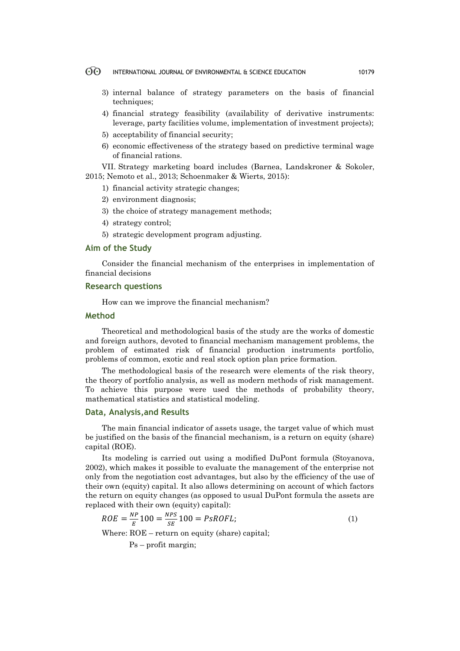- $\odot$ INTERNATIONAL JOURNAL OF ENVIRONMENTAL & SCIENCE EDUCATION 10179
	- 3) internal balance of strategy parameters on the basis of financial techniques:
	- 4) financial strategy feasibility (availability of derivative instruments: leverage, party facilities volume, implementation of investment projects);
	- 5) acceptability of financial security;
	- 6) economic effectiveness of the strategy based on predictive terminal wage of financial rations.

VII. Strategy marketing board includes (Barnea, Landskroner & Sokoler, 2015; Nemoto et al., 2013; Schoenmaker & Wierts, 2015):

- 1) financial activity strategic changes;
- 2) environment diagnosis;
- 3) the choice of strategy management methods;
- 4) strategy control;
- 5) strategic development program adjusting.

# **Aim of the Study**

Consider the financial mechanism of the enterprises in implementation of financial decisions

### **Research questions**

How can we improve the financial mechanism?

### **Method**

Theoretical and methodological basis of the study are the works of domestic and foreign authors, devoted to financial mechanism management problems, the problem of estimated risk of financial production instruments portfolio, problems of common, exotic and real stock option plan price formation.

The methodological basis of the research were elements of the risk theory, the theory of portfolio analysis, as well as modern methods of risk management. To achieve this purpose were used the methods of probability theory, mathematical statistics and statistical modeling.

# **Data, Analysis,and Results**

The main financial indicator of assets usage, the target value of which must be justified on the basis of the financial mechanism, is a return on equity (share) capital (ROE).

Its modeling is carried out using a modified DuPont formula (Stoyanova, 2002), which makes it possible to evaluate the management of the enterprise not only from the negotiation cost advantages, but also by the efficiency of the use of their own (equity) capital. It also allows determining on account of which factors the return on equity changes (as opposed to usual DuPont formula the assets are replaced with their own (equity) capital):

$$
ROE = \frac{NP}{E}100 = \frac{NPS}{SE}100 = PsROFL;
$$
\n<sup>(1)</sup>

Where: ROE – return on equity (share) capital;

Ps – profit margin;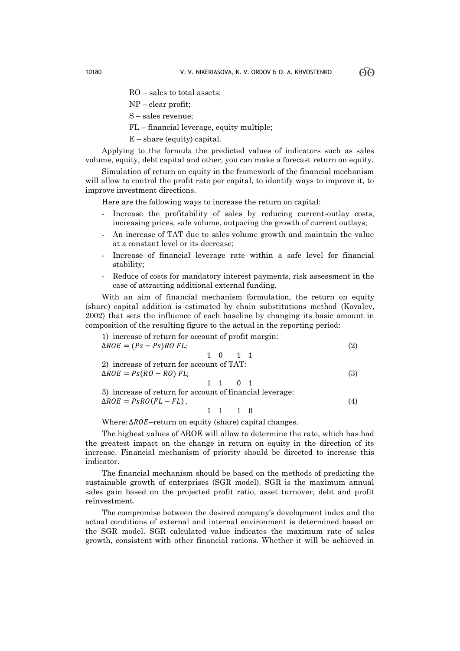RO – sales to total assets;

NP – clear profit;

S – sales revenue;

FL – financial leverage, equity multiple;

Е – share (equity) capital.

Applying to the formula the predicted values of indicators such as sales volume, equity, debt capital and other, you can make a forecast return on equity.

Simulation of return on equity in the framework of the financial mechanism will allow to control the profit rate per capital, to identify ways to improve it, to improve investment directions.

Here are the following ways to increase the return on capital:

- Increase the profitability of sales by reducing current-outlay costs, increasing prices, sale volume, outpacing the growth of current outlays;
- An increase of TAT due to sales volume growth and maintain the value at a constant level or its decrease;
- Increase of financial leverage rate within a safe level for financial stability;
- Reduce of costs for mandatory interest payments, risk assessment in the case of attracting additional external funding.

With an aim of financial mechanism formulation, the return on equity (share) capital addition is estimated by chain substitutions method (Kovalev, 2002) that sets the influence of each baseline by changing its basic amount in composition of the resulting figure to the actual in the reporting period:

1) increase of return for account of profit margin:  
\n
$$
\Delta ROE = (Ps - Ps)RO FL;
$$
\n1 0 1 1  
\n2) increase of return for account of TAT:  
\n
$$
\Delta ROE = Ps(RO - RO) FL;
$$
\n1 1 0 1  
\n3) increase of return for account of financial leverage:  
\n
$$
\Delta ROE = PsRO(FL - FL),
$$
\n1 1 1 0  
\n1 1 1 0  
\n(4)

Where:  $\Delta ROE$ –return on equity (share) capital changes.

The highest values of ΔROE will allow to determine the rate, which has had the greatest impact on the change in return on equity in the direction of its increase. Financial mechanism of priority should be directed to increase this indicator.

The financial mechanism should be based on the methods of predicting the sustainable growth of enterprises (SGR model). SGR is the maximum annual sales gain based on the projected profit ratio, asset turnover, debt and profit reinvestment.

The compromise between the desired company's development index and the actual conditions of external and internal environment is determined based on the SGR model. SGR calculated value indicates the maximum rate of sales growth, consistent with other financial rations. Whether it will be achieved in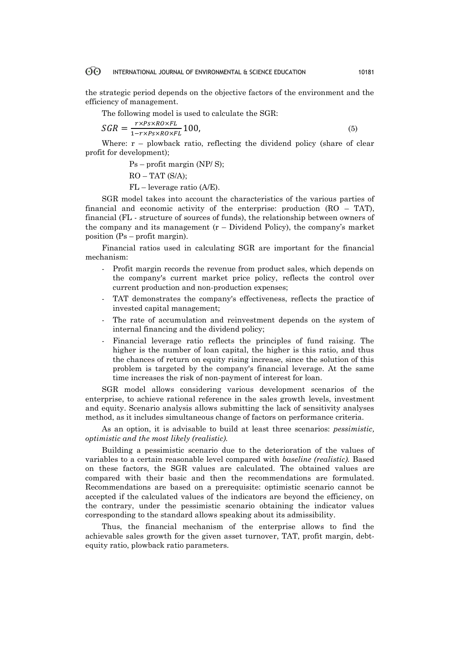#### 60 INTERNATIONAL JOURNAL OF ENVIRONMENTAL & SCIENCE EDUCATION 10181

the strategic period depends on the objective factors of the environment and the efficiency of management.

The following model is used to calculate the SGR:

$$
SGR = \frac{r \times Ps \times RO \times FL}{1 - r \times Ps \times RO \times FL} 100,\tag{5}
$$

Where:  $r -$  plowback ratio, reflecting the dividend policy (share of clear profit for development);

> Ps – profit margin (NP/ S);  $RO - TAT(S/A);$ FL – leverage ratio (А/Е).

SGR model takes into account the characteristics of the various parties of financial and economic activity of the enterprise: production  $(RO - TAT)$ , financial (FL - structure of sources of funds), the relationship between owners of the company and its management  $(r - Dividend$  Policy), the company's market position (Ps – profit margin).

Financial ratios used in calculating SGR are important for the financial mechanism:

- Profit margin records the revenue from product sales, which depends on the company's current market price policy, reflects the control over current production and non-production expenses;
- TAT demonstrates the company's effectiveness, reflects the practice of invested capital management;
- The rate of accumulation and reinvestment depends on the system of internal financing and the dividend policy;
- Financial leverage ratio reflects the principles of fund raising. The higher is the number of loan capital, the higher is this ratio, and thus the chances of return on equity rising increase, since the solution of this problem is targeted by the company's financial leverage. At the same time increases the risk of non-payment of interest for loan.

SGR model allows considering various development scenarios of the enterprise, to achieve rational reference in the sales growth levels, investment and equity. Scenario analysis allows submitting the lack of sensitivity analyses method, as it includes simultaneous change of factors on performance criteria.

As an option, it is advisable to build at least three scenarios: *pessimistic, optimistic and the most likely (realistic).*

Building a pessimistic scenario due to the deterioration of the values of variables to a certain reasonable level compared with *baseline (realistic).* Based on these factors, the SGR values are calculated. The obtained values are compared with their basic and then the recommendations are formulated. Recommendations are based on a prerequisite: optimistic scenario cannot be accepted if the calculated values of the indicators are beyond the efficiency, on the contrary, under the pessimistic scenario obtaining the indicator values corresponding to the standard allows speaking about its admissibility.

Thus, the financial mechanism of the enterprise allows to find the achievable sales growth for the given asset turnover, TAT, profit margin, debtequity ratio, plowback ratio parameters.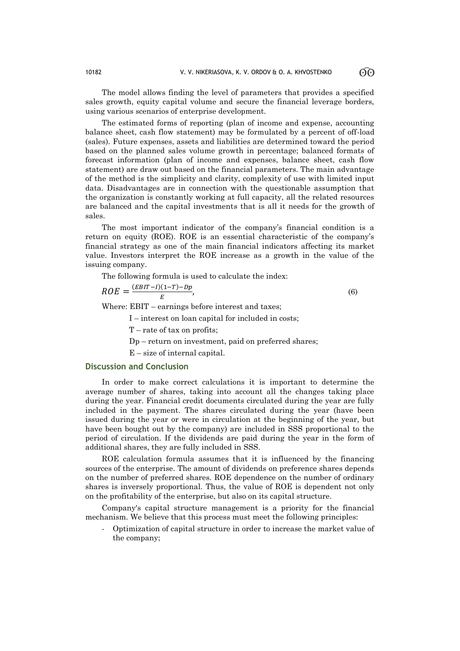The model allows finding the level of parameters that provides a specified sales growth, equity capital volume and secure the financial leverage borders, using various scenarios of enterprise development.

The estimated forms of reporting (plan of income and expense, accounting balance sheet, cash flow statement) may be formulated by a percent of off-load (sales). Future expenses, assets and liabilities are determined toward the period based on the planned sales volume growth in percentage; balanced formats of forecast information (plan of income and expenses, balance sheet, cash flow statement) are draw out based on the financial parameters. The main advantage of the method is the simplicity and clarity, complexity of use with limited input data. Disadvantages are in connection with the questionable assumption that the organization is constantly working at full capacity, all the related resources are balanced and the capital investments that is all it needs for the growth of sales.

The most important indicator of the company's financial condition is a return on equity (ROE). ROE is an essential characteristic of the company's financial strategy as one of the main financial indicators affecting its market value. Investors interpret the ROE increase as a growth in the value of the issuing company.

The following formula is used to calculate the index:

$$
ROE = \frac{(EBIT - I)(1 - T) - Dp}{E},\tag{6}
$$

Where: EBIT – earnings before interest and taxes;

I – interest on loan capital for included in costs;

Т – rate of tax on profits;

Dp – return on investment, paid on preferred shares;

Е – size of internal capital.

### **Discussion and Conclusion**

In order to make correct calculations it is important to determine the average number of shares, taking into account all the changes taking place during the year. Financial credit documents circulated during the year are fully included in the payment. The shares circulated during the year (have been issued during the year or were in circulation at the beginning of the year, but have been bought out by the company) are included in SSS proportional to the period of circulation. If the dividends are paid during the year in the form of additional shares, they are fully included in SSS.

ROE calculation formula assumes that it is influenced by the financing sources of the enterprise. The amount of dividends on preference shares depends on the number of preferred shares. ROE dependence on the number of ordinary shares is inversely proportional. Thus, the value of ROE is dependent not only on the profitability of the enterprise, but also on its capital structure.

Company's capital structure management is a priority for the financial mechanism. We believe that this process must meet the following principles:

- Optimization of capital structure in order to increase the market value of the company;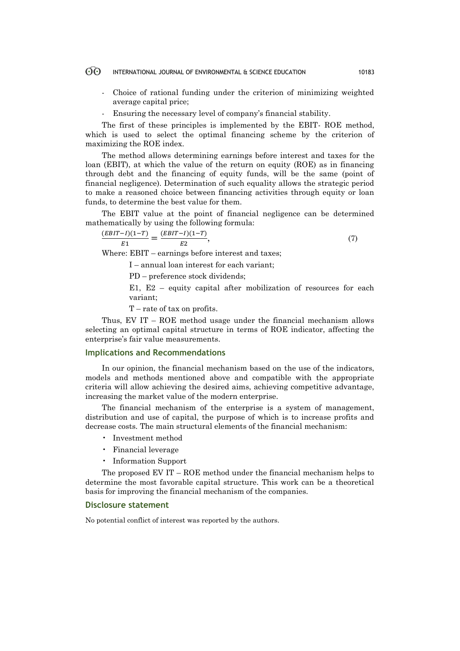#### $\Theta$ INTERNATIONAL JOURNAL OF ENVIRONMENTAL & SCIENCE EDUCATION 10183

- Choice of rational funding under the criterion of minimizing weighted average capital price;
- Ensuring the necessary level of company's financial stability.

The first of these principles is implemented by the EBIT- ROE method, which is used to select the optimal financing scheme by the criterion of maximizing the ROE index.

The method allows determining earnings before interest and taxes for the loan (EBIT), at which the value of the return on equity (ROE) as in financing through debt and the financing of equity funds, will be the same (point of financial negligence). Determination of such equality allows the strategic period to make a reasoned choice between financing activities through equity or loan funds, to determine the best value for them.

The EBIT value at the point of financial negligence can be determined mathematically by using the following formula:

$$
\frac{(EBIT - I)(1 - T)}{E1} = \frac{(EBIT - I)(1 - T)}{E2},\tag{7}
$$

Where: EBIT – earnings before interest and taxes;

I – annual loan interest for each variant;

PD – preference stock dividends;

Е1, Е2 – equity capital after mobilization of resources for each variant;

T – rate of tax on profits.

Thus, EV IT – ROE method usage under the financial mechanism allows selecting an optimal capital structure in terms of ROE indicator, affecting the enterprise's fair value measurements.

# **Implications and Recommendations**

In our opinion, the financial mechanism based on the use of the indicators, models and methods mentioned above and compatible with the appropriate criteria will allow achieving the desired aims, achieving competitive advantage, increasing the market value of the modern enterprise.

The financial mechanism of the enterprise is a system of management, distribution and use of capital, the purpose of which is to increase profits and decrease costs. The main structural elements of the financial mechanism:

- Investment method
- Financial leverage
- Information Support

The proposed EV IT – ROE method under the financial mechanism helps to determine the most favorable capital structure. This work can be a theoretical basis for improving the financial mechanism of the companies.

# **Disclosure statement**

No potential conflict of interest was reported by the authors.